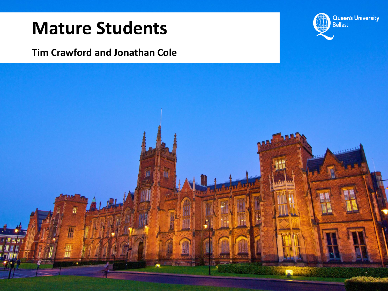#### **Mature Students**

#### **Tim Crawford and Jonathan Cole**



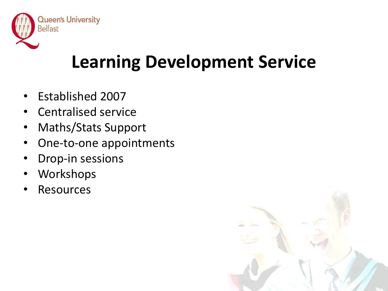

# **Learning Development Service**

- Established 2007
- Centralised service
- Maths/Stats Support
- One-to-one appointments
- Drop-in sessions
- **Workshops**
- **Resources**

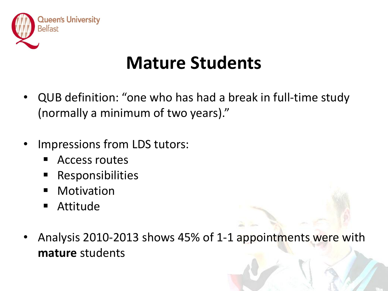

### **Mature Students**

- QUB definition: "one who has had a break in full-time study (normally a minimum of two years)."
- Impressions from LDS tutors:
	- Access routes
	- Responsibilities
	- **•** Motivation
	- Attitude
- Analysis 2010-2013 shows 45% of 1-1 appointments were with **mature** students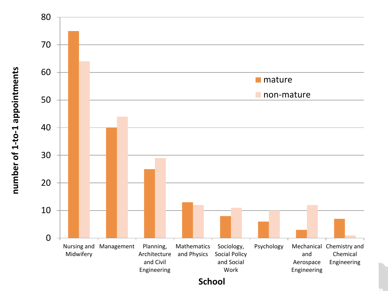

number of 1-to-1 appointments **number of 1-to-1 appointments**

**School**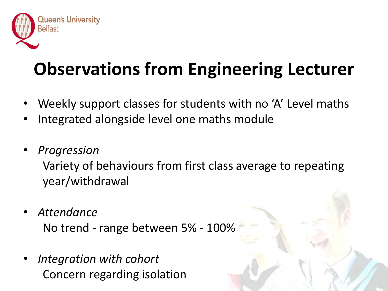

# **Observations from Engineering Lecturer**

- Weekly support classes for students with no 'A' Level maths
- Integrated alongside level one maths module
- *Progression*

Variety of behaviours from first class average to repeating year/withdrawal

- *Attendance* No trend - range between 5% - 100%
- *Integration with cohort* Concern regarding isolation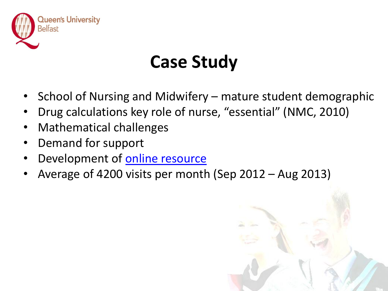

## **Case Study**

- School of Nursing and Midwifery mature student demographic
- Drug calculations key role of nurse, "essential" (NMC, 2010)
- Mathematical challenges
- Demand for support
- Development of [online resource](http://www.qub.ac.uk/elearning/public/NumeracySkillsforDrugCalculations/)
- Average of 4200 visits per month (Sep 2012 Aug 2013)

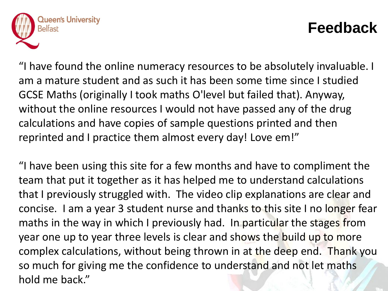

#### **Feedback**

"I have found the online numeracy resources to be absolutely invaluable. I am a mature student and as such it has been some time since I studied GCSE Maths (originally I took maths O'level but failed that). Anyway, without the online resources I would not have passed any of the drug calculations and have copies of sample questions printed and then reprinted and I practice them almost every day! Love em!"

"I have been using this site for a few months and have to compliment the team that put it together as it has helped me to understand calculations that I previously struggled with. The video clip explanations are clear and concise. I am a year 3 student nurse and thanks to this site I no longer fear maths in the way in which I previously had. In particular the stages from year one up to year three levels is clear and shows the build up to more complex calculations, without being thrown in at the deep end. Thank you so much for giving me the confidence to understand and not let maths hold me back."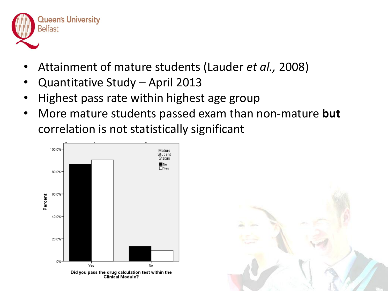

- Attainment of mature students (Lauder *et al.,* 2008)
- Quantitative Study April 2013
- Highest pass rate within highest age group
- More mature students passed exam than non-mature **but** correlation is not statistically significant